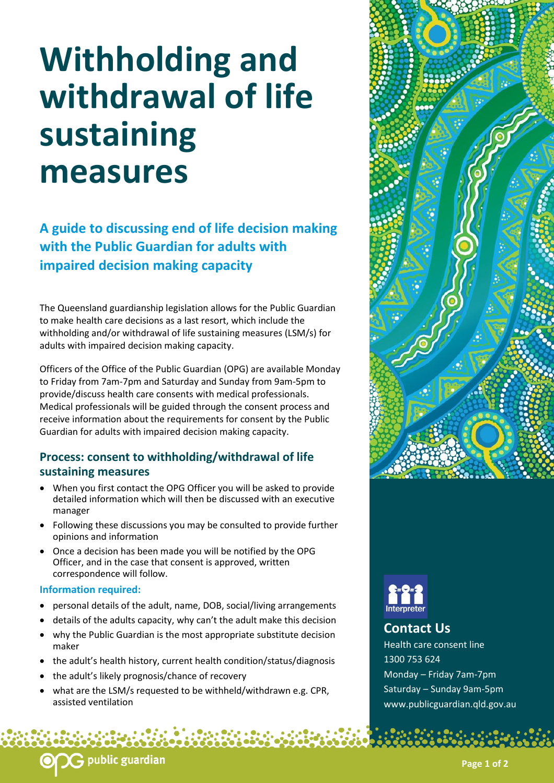# **Withholding and withdrawal of life sustaining measures**

**A guide to discussing end of life decision making with the Public Guardian for adults with impaired decision making capacity** 

The Queensland guardianship legislation allows for the Public Guardian to make health care decisions as a last resort, which include the withholding and/or withdrawal of life sustaining measures (LSM/s) for adults with impaired decision making capacity.

Officers of the Office of the Public Guardian (OPG) are available Monday to Friday from 7am-7pm and Saturday and Sunday from 9am-5pm to provide/discuss health care consents with medical professionals. Medical professionals will be guided through the consent process and receive information about the requirements for consent by the Public Guardian for adults with impaired decision making capacity.

## **Process: consent to withholding/withdrawal of life sustaining measures**

- When you first contact the OPG Officer you will be asked to provide detailed information which will then be discussed with an executive manager
- Following these discussions you may be consulted to provide further opinions and information
- Once a decision has been made you will be notified by the OPG Officer, and in the case that consent is approved, written correspondence will follow.

#### **Information required:**

- personal details of the adult, name, DOB, social/living arrangements
- details of the adults capacity, why can't the adult make this decision
- why the Public Guardian is the most appropriate substitute decision maker
- the adult's health history, current health condition/status/diagnosis
- the adult's likely prognosis/chance of recovery
- what are the LSM/s requested to be withheld/withdrawn e.g. CPR, assisted ventilation





## **Contact Us**

Health care consent line 1300 753 624 Monday – Friday 7am-7pm Saturday – Sunday 9am-5pm www.publicguardian.qld.gov.au

## **G** public guardian

**Page 1 of 2**